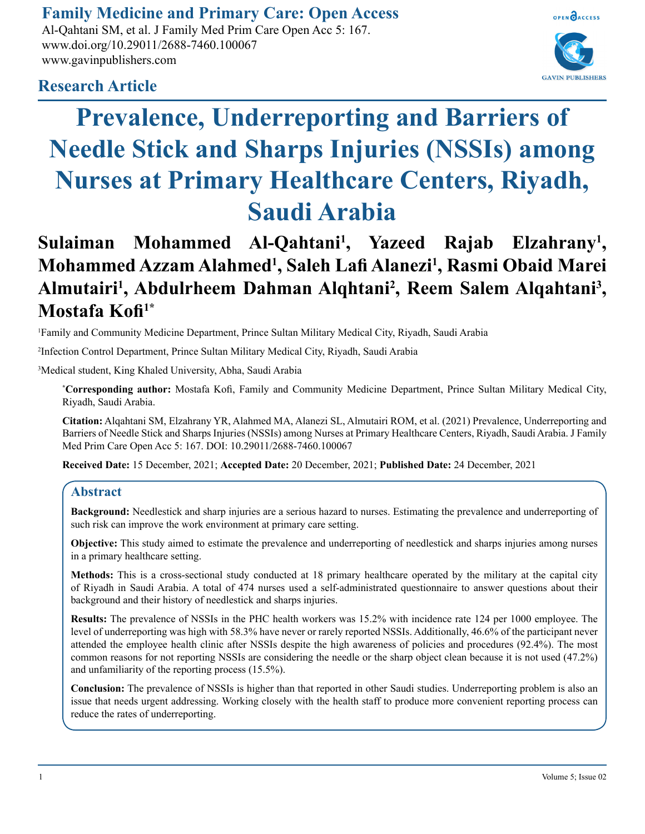# **Family Medicine and Primary Care: Open Access**

Al-Qahtani SM, et al. J Family Med Prim Care Open Acc 5: 167. www.doi.org/10.29011/2688-7460.100067 www.gavinpublishers.com



## **Research Article**

# **Prevalence, Underreporting and Barriers of Needle Stick and Sharps Injuries (NSSIs) among Nurses at Primary Healthcare Centers, Riyadh, Saudi Arabia**

# **Sulaiman Mohammed Al-Qahtani1 , Yazeed Rajab Elzahrany1 , Mohammed Azzam Alahmed1 , Saleh Lafi Alanezi<sup>1</sup> , Rasmi Obaid Marei**  Almutairi<sup>1</sup>, Abdulrheem Dahman Alqhtani<sup>2</sup>, Reem Salem Alqahtani<sup>3</sup>, **Mostafa Kofi1\***

1 Family and Community Medicine Department, Prince Sultan Military Medical City, Riyadh, Saudi Arabia

2 Infection Control Department, Prince Sultan Military Medical City, Riyadh, Saudi Arabia

3 Medical student, King Khaled University, Abha, Saudi Arabia

**\* Corresponding author:** Mostafa Kofi, Family and Community Medicine Department, Prince Sultan Military Medical City, Riyadh, Saudi Arabia.

**Citation:** Alqahtani SM, Elzahrany YR, Alahmed MA, Alanezi SL, Almutairi ROM, et al. (2021) Prevalence, Underreporting and Barriers of Needle Stick and Sharps Injuries (NSSIs) among Nurses at Primary Healthcare Centers, Riyadh, Saudi Arabia. J Family Med Prim Care Open Acc 5: 167. DOI: 10.29011/2688-7460.100067

**Received Date:** 15 December, 2021; **Accepted Date:** 20 December, 2021; **Published Date:** 24 December, 2021

#### **Abstract**

**Background:** Needlestick and sharp injuries are a serious hazard to nurses. Estimating the prevalence and underreporting of such risk can improve the work environment at primary care setting.

**Objective:** This study aimed to estimate the prevalence and underreporting of needlestick and sharps injuries among nurses in a primary healthcare setting.

**Methods:** This is a cross-sectional study conducted at 18 primary healthcare operated by the military at the capital city of Riyadh in Saudi Arabia. A total of 474 nurses used a self-administrated questionnaire to answer questions about their background and their history of needlestick and sharps injuries.

**Results:** The prevalence of NSSIs in the PHC health workers was 15.2% with incidence rate 124 per 1000 employee. The level of underreporting was high with 58.3% have never or rarely reported NSSIs. Additionally, 46.6% of the participant never attended the employee health clinic after NSSIs despite the high awareness of policies and procedures (92.4%). The most common reasons for not reporting NSSIs are considering the needle or the sharp object clean because it is not used (47.2%) and unfamiliarity of the reporting process (15.5%).

**Conclusion:** The prevalence of NSSIs is higher than that reported in other Saudi studies. Underreporting problem is also an issue that needs urgent addressing. Working closely with the health staff to produce more convenient reporting process can reduce the rates of underreporting.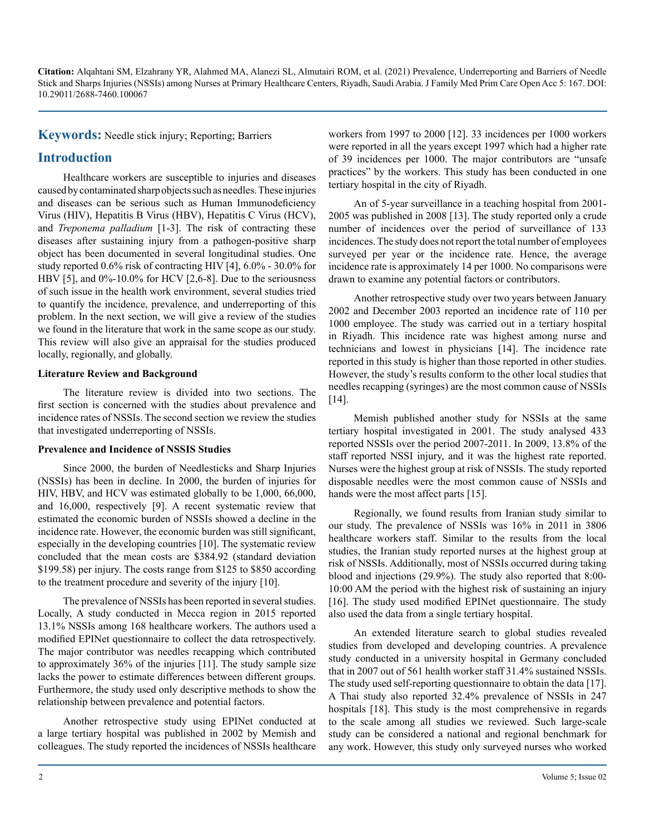**Keywords:** Needle stick injury; Reporting; Barriers

#### **Introduction**

Healthcare workers are susceptible to injuries and diseases caused by contaminated sharp objects such as needles. These injuries and diseases can be serious such as Human Immunodeficiency Virus (HIV), Hepatitis B Virus (HBV), Hepatitis C Virus (HCV), and *Treponema palladium* [1-3]. The risk of contracting these diseases after sustaining injury from a pathogen-positive sharp object has been documented in several longitudinal studies. One study reported 0.6% risk of contracting HIV [4], 6.0% - 30.0% for HBV [5], and 0%-10.0% for HCV [2,6-8]. Due to the seriousness of such issue in the health work environment, several studies tried to quantify the incidence, prevalence, and underreporting of this problem. In the next section, we will give a review of the studies we found in the literature that work in the same scope as our study. This review will also give an appraisal for the studies produced locally, regionally, and globally.

#### **Literature Review and Background**

The literature review is divided into two sections. The first section is concerned with the studies about prevalence and incidence rates of NSSIs. The second section we review the studies that investigated underreporting of NSSIs.

#### **Prevalence and Incidence of NSSIS Studies**

Since 2000, the burden of Needlesticks and Sharp Injuries (NSSIs) has been in decline. In 2000, the burden of injuries for HIV, HBV, and HCV was estimated globally to be 1,000, 66,000, and 16,000, respectively [9]. A recent systematic review that estimated the economic burden of NSSIs showed a decline in the incidence rate. However, the economic burden was still significant, especially in the developing countries [10]. The systematic review concluded that the mean costs are \$384.92 (standard deviation \$199.58) per injury. The costs range from \$125 to \$850 according to the treatment procedure and severity of the injury [10].

The prevalence of NSSIs has been reported in several studies. Locally, A study conducted in Mecca region in 2015 reported 13.1% NSSIs among 168 healthcare workers. The authors used a modified EPINet questionnaire to collect the data retrospectively. The major contributor was needles recapping which contributed to approximately 36% of the injuries [11]. The study sample size lacks the power to estimate differences between different groups. Furthermore, the study used only descriptive methods to show the relationship between prevalence and potential factors.

Another retrospective study using EPINet conducted at a large tertiary hospital was published in 2002 by Memish and colleagues. The study reported the incidences of NSSIs healthcare workers from 1997 to 2000 [12]. 33 incidences per 1000 workers were reported in all the years except 1997 which had a higher rate of 39 incidences per 1000. The major contributors are "unsafe practices" by the workers. This study has been conducted in one tertiary hospital in the city of Riyadh.

An of 5-year surveillance in a teaching hospital from 2001- 2005 was published in 2008 [13]. The study reported only a crude number of incidences over the period of surveillance of 133 incidences. The study does not report the total number of employees surveyed per year or the incidence rate. Hence, the average incidence rate is approximately 14 per 1000. No comparisons were drawn to examine any potential factors or contributors.

Another retrospective study over two years between January 2002 and December 2003 reported an incidence rate of 110 per 1000 employee. The study was carried out in a tertiary hospital in Riyadh. This incidence rate was highest among nurse and technicians and lowest in physicians [14]. The incidence rate reported in this study is higher than those reported in other studies. However, the study's results conform to the other local studies that needles recapping (syringes) are the most common cause of NSSIs [14].

Memish published another study for NSSIs at the same tertiary hospital investigated in 2001. The study analysed 433 reported NSSIs over the period 2007-2011. In 2009, 13.8% of the staff reported NSSI injury, and it was the highest rate reported. Nurses were the highest group at risk of NSSIs. The study reported disposable needles were the most common cause of NSSIs and hands were the most affect parts [15].

Regionally, we found results from Iranian study similar to our study. The prevalence of NSSIs was 16% in 2011 in 3806 healthcare workers staff. Similar to the results from the local studies, the Iranian study reported nurses at the highest group at risk of NSSIs. Additionally, most of NSSIs occurred during taking blood and injections (29.9%). The study also reported that 8:00- 10:00 AM the period with the highest risk of sustaining an injury [16]. The study used modified EPINet questionnaire. The study also used the data from a single tertiary hospital.

An extended literature search to global studies revealed studies from developed and developing countries. A prevalence study conducted in a university hospital in Germany concluded that in 2007 out of 561 health worker staff 31.4% sustained NSSIs. The study used self-reporting questionnaire to obtain the data [17]. A Thai study also reported 32.4% prevalence of NSSIs in 247 hospitals [18]. This study is the most comprehensive in regards to the scale among all studies we reviewed. Such large-scale study can be considered a national and regional benchmark for any work. However, this study only surveyed nurses who worked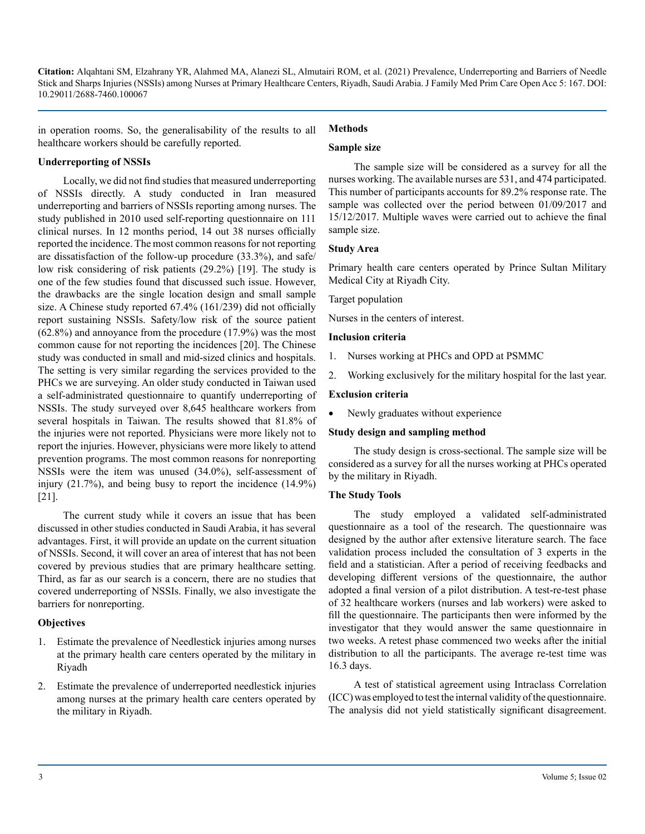in operation rooms. So, the generalisability of the results to all healthcare workers should be carefully reported. **Methods**

## **Sample size**

#### **Underreporting of NSSIs**

Locally, we did not find studies that measured underreporting of NSSIs directly. A study conducted in Iran measured underreporting and barriers of NSSIs reporting among nurses. The study published in 2010 used self-reporting questionnaire on 111 clinical nurses. In 12 months period, 14 out 38 nurses officially reported the incidence. The most common reasons for not reporting are dissatisfaction of the follow-up procedure (33.3%), and safe/ low risk considering of risk patients (29.2%) [19]. The study is one of the few studies found that discussed such issue. However, the drawbacks are the single location design and small sample size. A Chinese study reported 67.4% (161/239) did not officially report sustaining NSSIs. Safety/low risk of the source patient (62.8%) and annoyance from the procedure (17.9%) was the most common cause for not reporting the incidences [20]. The Chinese study was conducted in small and mid-sized clinics and hospitals. The setting is very similar regarding the services provided to the PHCs we are surveying. An older study conducted in Taiwan used a self-administrated questionnaire to quantify underreporting of NSSIs. The study surveyed over 8,645 healthcare workers from several hospitals in Taiwan. The results showed that 81.8% of the injuries were not reported. Physicians were more likely not to report the injuries. However, physicians were more likely to attend prevention programs. The most common reasons for nonreporting NSSIs were the item was unused (34.0%), self-assessment of injury (21.7%), and being busy to report the incidence (14.9%) [21].

The current study while it covers an issue that has been discussed in other studies conducted in Saudi Arabia, it has several advantages. First, it will provide an update on the current situation of NSSIs. Second, it will cover an area of interest that has not been covered by previous studies that are primary healthcare setting. Third, as far as our search is a concern, there are no studies that covered underreporting of NSSIs. Finally, we also investigate the barriers for nonreporting.

#### **Objectives**

- 1. Estimate the prevalence of Needlestick injuries among nurses at the primary health care centers operated by the military in Riyadh
- 2. Estimate the prevalence of underreported needlestick injuries among nurses at the primary health care centers operated by the military in Riyadh.

The sample size will be considered as a survey for all the nurses working. The available nurses are 531, and 474 participated. This number of participants accounts for 89.2% response rate. The sample was collected over the period between 01/09/2017 and 15/12/2017. Multiple waves were carried out to achieve the final sample size.

#### **Study Area**

Primary health care centers operated by Prince Sultan Military Medical City at Riyadh City.

Target population

Nurses in the centers of interest.

#### **Inclusion criteria**

- 1. Nurses working at PHCs and OPD at PSMMC
- 2. Working exclusively for the military hospital for the last year.

#### **Exclusion criteria**

Newly graduates without experience

#### **Study design and sampling method**

The study design is cross-sectional. The sample size will be considered as a survey for all the nurses working at PHCs operated by the military in Riyadh.

#### **The Study Tools**

The study employed a validated self-administrated questionnaire as a tool of the research. The questionnaire was designed by the author after extensive literature search. The face validation process included the consultation of 3 experts in the field and a statistician. After a period of receiving feedbacks and developing different versions of the questionnaire, the author adopted a final version of a pilot distribution. A test-re-test phase of 32 healthcare workers (nurses and lab workers) were asked to fill the questionnaire. The participants then were informed by the investigator that they would answer the same questionnaire in two weeks. A retest phase commenced two weeks after the initial distribution to all the participants. The average re-test time was 16.3 days.

A test of statistical agreement using Intraclass Correlation (ICC) was employed to test the internal validity of the questionnaire. The analysis did not yield statistically significant disagreement.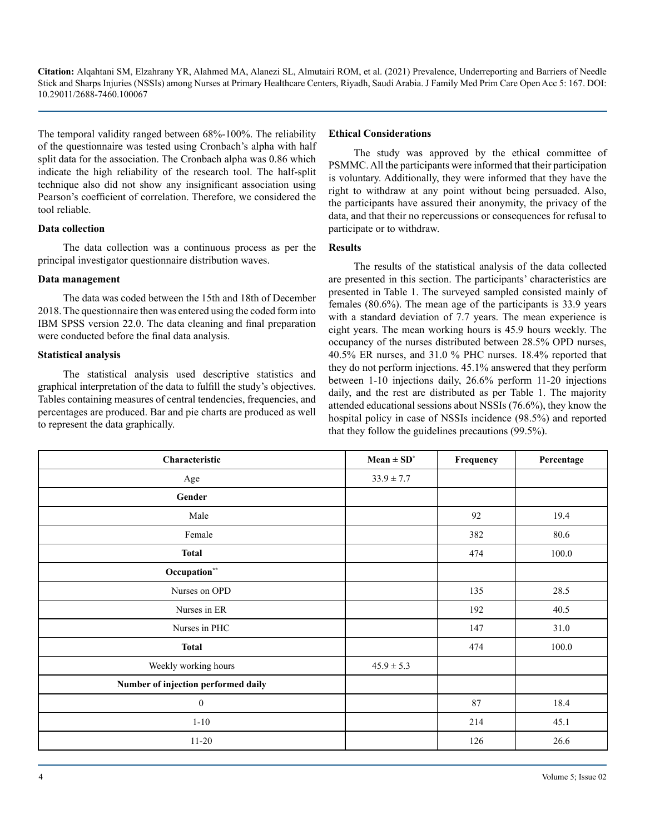The temporal validity ranged between 68%-100%. The reliability of the questionnaire was tested using Cronbach's alpha with half split data for the association. The Cronbach alpha was 0.86 which indicate the high reliability of the research tool. The half-split technique also did not show any insignificant association using Pearson's coefficient of correlation. Therefore, we considered the tool reliable.

#### **Data collection**

The data collection was a continuous process as per the principal investigator questionnaire distribution waves.

#### **Data management**

The data was coded between the 15th and 18th of December 2018. The questionnaire then was entered using the coded form into IBM SPSS version 22.0. The data cleaning and final preparation were conducted before the final data analysis.

#### **Statistical analysis**

The statistical analysis used descriptive statistics and graphical interpretation of the data to fulfill the study's objectives. Tables containing measures of central tendencies, frequencies, and percentages are produced. Bar and pie charts are produced as well to represent the data graphically.

#### **Ethical Considerations**

The study was approved by the ethical committee of PSMMC. All the participants were informed that their participation is voluntary. Additionally, they were informed that they have the right to withdraw at any point without being persuaded. Also, the participants have assured their anonymity, the privacy of the data, and that their no repercussions or consequences for refusal to participate or to withdraw.

#### **Results**

The results of the statistical analysis of the data collected are presented in this section. The participants' characteristics are presented in Table 1. The surveyed sampled consisted mainly of females (80.6%). The mean age of the participants is 33.9 years with a standard deviation of 7.7 years. The mean experience is eight years. The mean working hours is 45.9 hours weekly. The occupancy of the nurses distributed between 28.5% OPD nurses, 40.5% ER nurses, and 31.0 % PHC nurses. 18.4% reported that they do not perform injections. 45.1% answered that they perform between 1-10 injections daily, 26.6% perform 11-20 injections daily, and the rest are distributed as per Table 1. The majority attended educational sessions about NSSIs (76.6%), they know the hospital policy in case of NSSIs incidence (98.5%) and reported that they follow the guidelines precautions (99.5%).

| Characteristic                      | $Mean \pm SD^*$ | Frequency | Percentage |
|-------------------------------------|-----------------|-----------|------------|
| Age                                 | $33.9 \pm 7.7$  |           |            |
| Gender                              |                 |           |            |
| Male                                |                 | 92        | 19.4       |
| Female                              |                 | 382       | 80.6       |
| <b>Total</b>                        |                 | 474       | 100.0      |
| Occupation**                        |                 |           |            |
| Nurses on OPD                       |                 | 135       | 28.5       |
| Nurses in ER                        |                 | 192       | 40.5       |
| Nurses in PHC                       |                 | 147       | 31.0       |
| <b>Total</b>                        |                 | 474       | 100.0      |
| Weekly working hours                | $45.9 \pm 5.3$  |           |            |
| Number of injection performed daily |                 |           |            |
| $\boldsymbol{0}$                    |                 | 87        | 18.4       |
| $1 - 10$                            |                 | 214       | 45.1       |
| $11 - 20$                           |                 | 126       | 26.6       |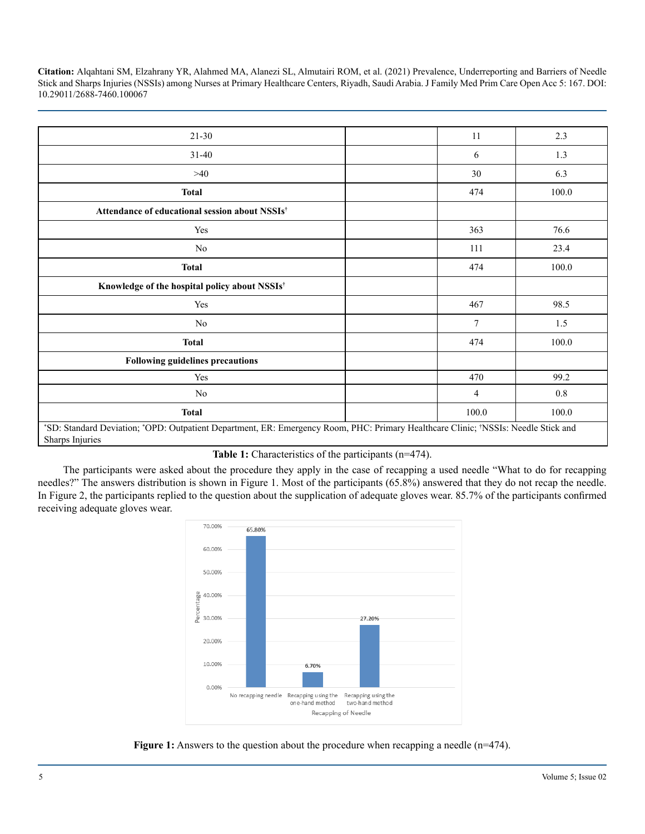| $21 - 30$                                                                                                                                             | 11             | 2.3     |  |
|-------------------------------------------------------------------------------------------------------------------------------------------------------|----------------|---------|--|
| $31 - 40$                                                                                                                                             | 6              | 1.3     |  |
| >40                                                                                                                                                   | 30             | 6.3     |  |
| <b>Total</b>                                                                                                                                          | 474            | 100.0   |  |
| Attendance of educational session about NSSIs <sup>†</sup>                                                                                            |                |         |  |
| Yes                                                                                                                                                   | 363            | 76.6    |  |
| N <sub>0</sub>                                                                                                                                        | 111            | 23.4    |  |
| <b>Total</b>                                                                                                                                          | 474            | 100.0   |  |
| Knowledge of the hospital policy about NSSIs <sup>†</sup>                                                                                             |                |         |  |
| Yes                                                                                                                                                   | 467            | 98.5    |  |
| No                                                                                                                                                    | $\overline{7}$ | 1.5     |  |
| <b>Total</b>                                                                                                                                          | 474            | 100.0   |  |
| <b>Following guidelines precautions</b>                                                                                                               |                |         |  |
| Yes                                                                                                                                                   | 470            | 99.2    |  |
| No                                                                                                                                                    | $\overline{4}$ | $0.8\,$ |  |
| <b>Total</b>                                                                                                                                          | 100.0          | 100.0   |  |
| *SD: Standard Deviation; *OPD: Outpatient Department, ER: Emergency Room, PHC: Primary Healthcare Clinic; *NSSIs: Needle Stick and<br>Sharps Injuries |                |         |  |

Table 1: Characteristics of the participants (n=474).

The participants were asked about the procedure they apply in the case of recapping a used needle "What to do for recapping needles?" The answers distribution is shown in Figure 1. Most of the participants (65.8%) answered that they do not recap the needle. In Figure 2, the participants replied to the question about the supplication of adequate gloves wear. 85.7% of the participants confirmed receiving adequate gloves wear.



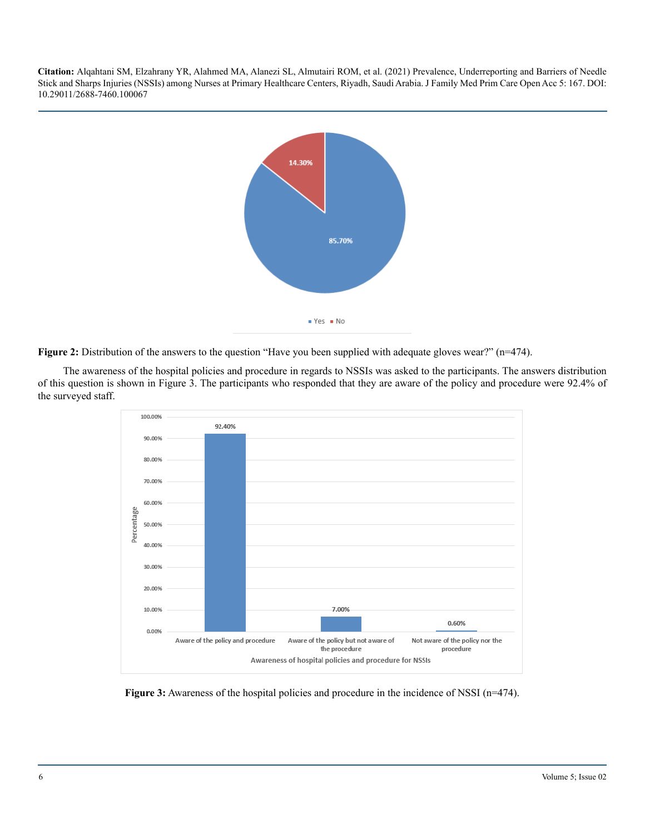

**Figure 2:** Distribution of the answers to the question "Have you been supplied with adequate gloves wear?" (n=474).

The awareness of the hospital policies and procedure in regards to NSSIs was asked to the participants. The answers distribution of this question is shown in Figure 3. The participants who responded that they are aware of the policy and procedure were 92.4% of the surveyed staff.



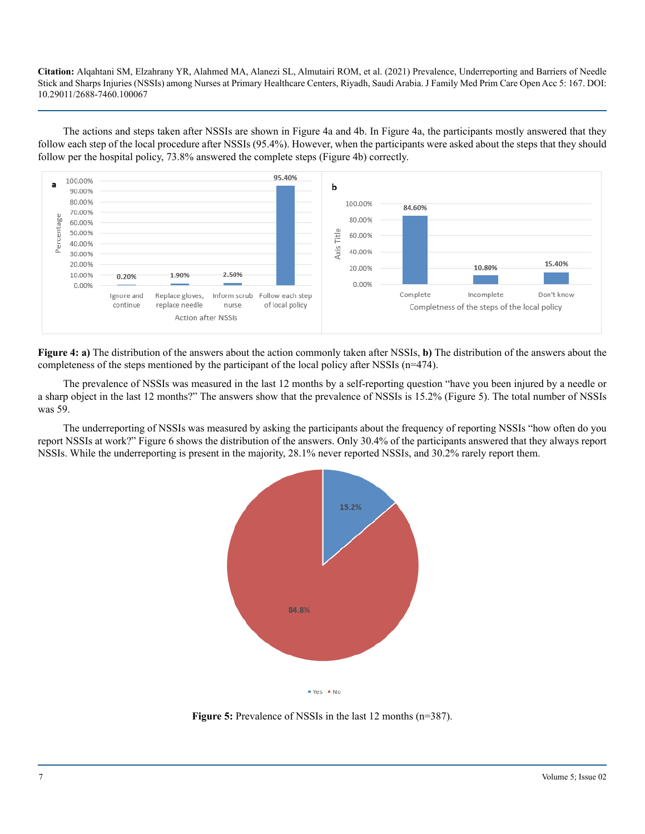The actions and steps taken after NSSIs are shown in Figure 4a and 4b. In Figure 4a, the participants mostly answered that they follow each step of the local procedure after NSSIs (95.4%). However, when the participants were asked about the steps that they should follow per the hospital policy, 73.8% answered the complete steps (Figure 4b) correctly.



**Figure 4: a)** The distribution of the answers about the action commonly taken after NSSIs, **b)** The distribution of the answers about the completeness of the steps mentioned by the participant of the local policy after NSSIs (n=474).

The prevalence of NSSIs was measured in the last 12 months by a self-reporting question "have you been injured by a needle or a sharp object in the last 12 months?" The answers show that the prevalence of NSSIs is 15.2% (Figure 5). The total number of NSSIs was 59.

The underreporting of NSSIs was measured by asking the participants about the frequency of reporting NSSIs "how often do you report NSSIs at work?" Figure 6 shows the distribution of the answers. Only 30.4% of the participants answered that they always report NSSIs. While the underreporting is present in the majority, 28.1% never reported NSSIs, and 30.2% rarely report them.



**Figure 5:** Prevalence of NSSIs in the last 12 months (n=387).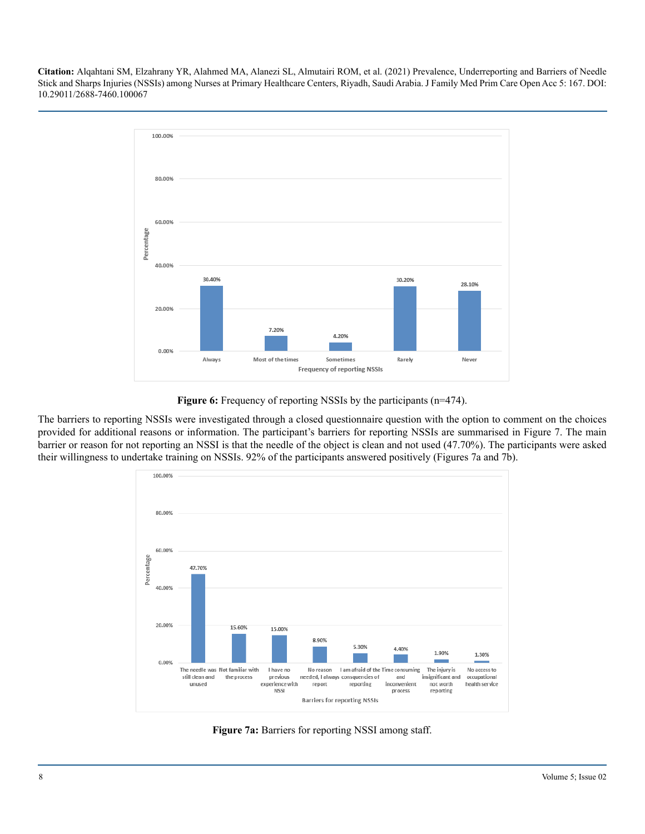

**Figure 6:** Frequency of reporting NSSIs by the participants (n=474).

The barriers to reporting NSSIs were investigated through a closed questionnaire question with the option to comment on the choices provided for additional reasons or information. The participant's barriers for reporting NSSIs are summarised in Figure 7. The main barrier or reason for not reporting an NSSI is that the needle of the object is clean and not used (47.70%). The participants were asked their willingness to undertake training on NSSIs. 92% of the participants answered positively (Figures 7a and 7b).



**Figure 7a:** Barriers for reporting NSSI among staff.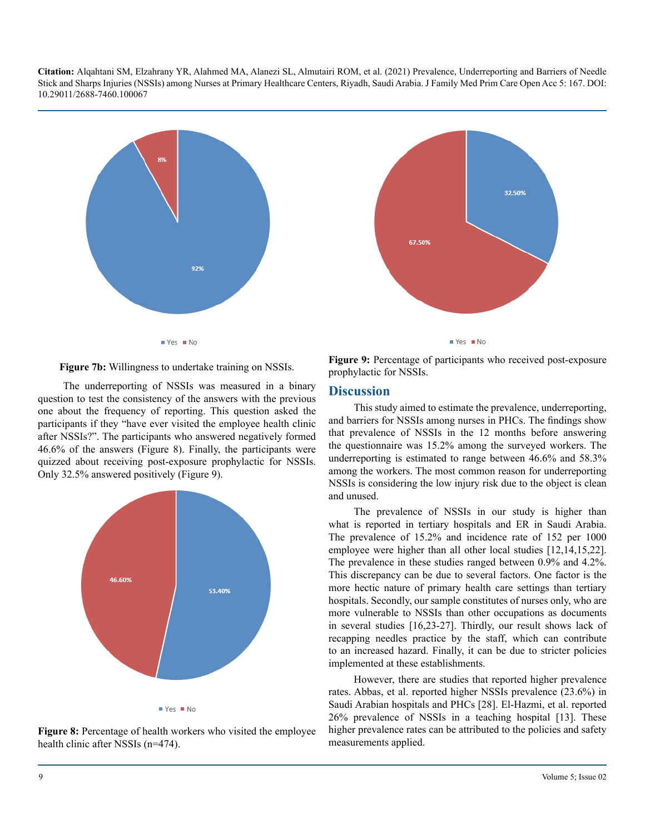



**Figure 7b:** Willingness to undertake training on NSSIs.

The underreporting of NSSIs was measured in a binary question to test the consistency of the answers with the previous one about the frequency of reporting. This question asked the participants if they "have ever visited the employee health clinic after NSSIs?". The participants who answered negatively formed 46.6% of the answers (Figure 8). Finally, the participants were quizzed about receiving post-exposure prophylactic for NSSIs. Only 32.5% answered positively (Figure 9).





**Figure 9:** Percentage of participants who received post-exposure prophylactic for NSSIs.

#### **Discussion**

This study aimed to estimate the prevalence, underreporting, and barriers for NSSIs among nurses in PHCs. The findings show that prevalence of NSSIs in the 12 months before answering the questionnaire was 15.2% among the surveyed workers. The underreporting is estimated to range between 46.6% and 58.3% among the workers. The most common reason for underreporting NSSIs is considering the low injury risk due to the object is clean and unused.

The prevalence of NSSIs in our study is higher than what is reported in tertiary hospitals and ER in Saudi Arabia. The prevalence of 15.2% and incidence rate of 152 per 1000 employee were higher than all other local studies [12,14,15,22]. The prevalence in these studies ranged between 0.9% and 4.2%. This discrepancy can be due to several factors. One factor is the more hectic nature of primary health care settings than tertiary hospitals. Secondly, our sample constitutes of nurses only, who are more vulnerable to NSSIs than other occupations as documents in several studies [16,23-27]. Thirdly, our result shows lack of recapping needles practice by the staff, which can contribute to an increased hazard. Finally, it can be due to stricter policies implemented at these establishments.

However, there are studies that reported higher prevalence rates. Abbas, et al. reported higher NSSIs prevalence (23.6%) in Saudi Arabian hospitals and PHCs [28]. El-Hazmi, et al. reported 26% prevalence of NSSIs in a teaching hospital [13]. These higher prevalence rates can be attributed to the policies and safety measurements applied.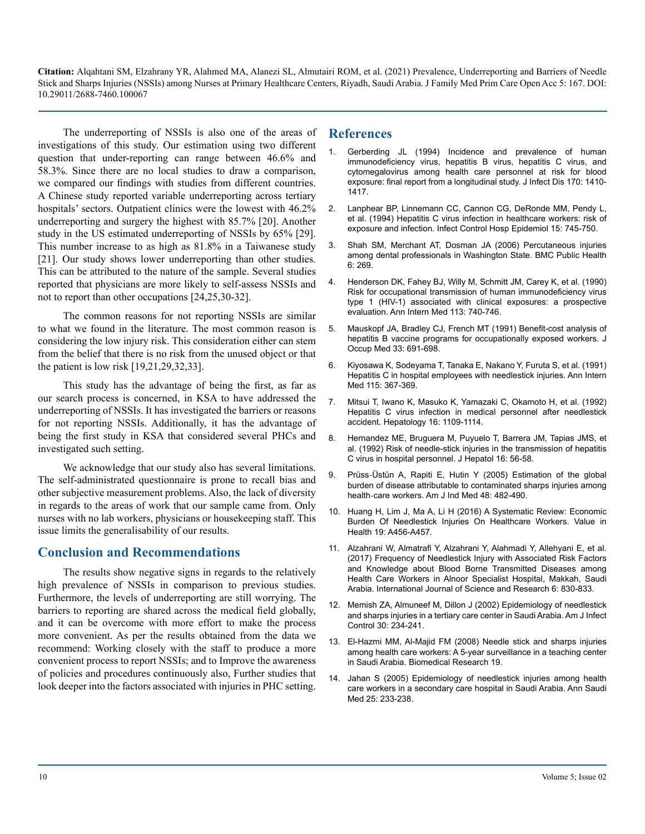The underreporting of NSSIs is also one of the areas of investigations of this study. Our estimation using two different question that under-reporting can range between 46.6% and 58.3%. Since there are no local studies to draw a comparison, we compared our findings with studies from different countries. A Chinese study reported variable underreporting across tertiary hospitals' sectors. Outpatient clinics were the lowest with  $46.2\%$ underreporting and surgery the highest with 85.7% [20]. Another study in the US estimated underreporting of NSSIs by 65% [29]. This number increase to as high as 81.8% in a Taiwanese study [21]. Our study shows lower underreporting than other studies. This can be attributed to the nature of the sample. Several studies reported that physicians are more likely to self-assess NSSIs and not to report than other occupations [24,25,30-32].

The common reasons for not reporting NSSIs are similar to what we found in the literature. The most common reason is considering the low injury risk. This consideration either can stem from the belief that there is no risk from the unused object or that the patient is low risk [19,21,29,32,33].

This study has the advantage of being the first, as far as our search process is concerned, in KSA to have addressed the underreporting of NSSIs. It has investigated the barriers or reasons for not reporting NSSIs. Additionally, it has the advantage of being the first study in KSA that considered several PHCs and investigated such setting.

We acknowledge that our study also has several limitations. The self-administrated questionnaire is prone to recall bias and other subjective measurement problems. Also, the lack of diversity in regards to the areas of work that our sample came from. Only nurses with no lab workers, physicians or housekeeping staff. This issue limits the generalisability of our results.

#### **Conclusion and Recommendations**

The results show negative signs in regards to the relatively high prevalence of NSSIs in comparison to previous studies. Furthermore, the levels of underreporting are still worrying. The barriers to reporting are shared across the medical field globally, and it can be overcome with more effort to make the process more convenient. As per the results obtained from the data we recommend: Working closely with the staff to produce a more convenient process to report NSSIs; and to Improve the awareness of policies and procedures continuously also, Further studies that look deeper into the factors associated with injuries in PHC setting.

#### **References**

- 1. [Gerberding JL \(1994\) Incidence and prevalence of human](https://pubmed.ncbi.nlm.nih.gov/7995979/)  [immunodeficiency virus, hepatitis B virus, hepatitis C virus, and](https://pubmed.ncbi.nlm.nih.gov/7995979/)  [cytomegalovirus among health care personnel at risk for blood](https://pubmed.ncbi.nlm.nih.gov/7995979/)  [exposure: final report from a longitudinal study. J Infect Dis 170: 1410-](https://pubmed.ncbi.nlm.nih.gov/7995979/) [1417.](https://pubmed.ncbi.nlm.nih.gov/7995979/)
- 2. [Lanphear BP, Linnemann CC, Cannon CG, DeRonde MM, Pendy L,](https://pubmed.ncbi.nlm.nih.gov/7534324/)  [et al. \(1994\) Hepatitis C virus infection in healthcare workers: risk of](https://pubmed.ncbi.nlm.nih.gov/7534324/) [exposure and infection. Infect Control Hosp Epidemiol 15: 745-750.](https://pubmed.ncbi.nlm.nih.gov/7534324/)
- 3. [Shah SM, Merchant AT, Dosman JA \(2006\) Percutaneous injuries](https://pubmed.ncbi.nlm.nih.gov/17074095/)  [among dental professionals in Washington State. BMC Public Health](https://pubmed.ncbi.nlm.nih.gov/17074095/)  [6: 269.](https://pubmed.ncbi.nlm.nih.gov/17074095/)
- 4. [Henderson DK, Fahey BJ, Willy M, Schmitt JM, Carey K, et al. \(1990\)](https://pubmed.ncbi.nlm.nih.gov/2240876/)  [Risk for occupational transmission of human immunodeficiency virus](https://pubmed.ncbi.nlm.nih.gov/2240876/)  [type 1 \(HIV-1\) associated with clinical exposures: a prospective](https://pubmed.ncbi.nlm.nih.gov/2240876/)  [evaluation. Ann Intern Med 113: 740-746.](https://pubmed.ncbi.nlm.nih.gov/2240876/)
- 5. [Mauskopf JA, Bradley CJ, French MT \(1991\) Benefit-cost analysis of](https://pubmed.ncbi.nlm.nih.gov/1824040/)  [hepatitis B vaccine programs for occupationally exposed workers. J](https://pubmed.ncbi.nlm.nih.gov/1824040/) [Occup Med 33: 691-698.](https://pubmed.ncbi.nlm.nih.gov/1824040/)
- 6. [Kiyosawa K, Sodeyama T, Tanaka E, Nakano Y, Furuta S, et al. \(1991\)](https://pubmed.ncbi.nlm.nih.gov/1907441/)  [Hepatitis C in hospital employees with needlestick injuries. Ann Intern](https://pubmed.ncbi.nlm.nih.gov/1907441/)  [Med 115: 367-369.](https://pubmed.ncbi.nlm.nih.gov/1907441/)
- 7. [Mitsui T, Iwano K, Masuko K, Yamazaki C, Okamoto H, et al. \(1992\)](https://pubmed.ncbi.nlm.nih.gov/1427651/)  [Hepatitis C virus infection in medical personnel after needlestick](https://pubmed.ncbi.nlm.nih.gov/1427651/)  [accident. Hepatology 16: 1109-1114.](https://pubmed.ncbi.nlm.nih.gov/1427651/)
- 8. [Hernandez ME, Bruguera M, Puyuelo T, Barrera JM, Tapias JMS, et](https://pubmed.ncbi.nlm.nih.gov/1484168/)  [al. \(1992\) Risk of needle-stick injuries in the transmission of hepatitis](https://pubmed.ncbi.nlm.nih.gov/1484168/)  [C virus in hospital personnel. J Hepatol 16: 56-58.](https://pubmed.ncbi.nlm.nih.gov/1484168/)
- 9. Prüss‐[Üstün A, Rapiti E, Hutin Y \(2005\) Estimation of the global](https://pubmed.ncbi.nlm.nih.gov/16299710/)  [burden of disease attributable to contaminated sharps injuries among](https://pubmed.ncbi.nlm.nih.gov/16299710/)  health‐[care workers. Am J Ind Med 48: 482-490.](https://pubmed.ncbi.nlm.nih.gov/16299710/)
- 10. Huang H, Lim J, Ma A, Li H (2016) A Systematic Review: Economic Burden Of Needlestick Injuries On Healthcare Workers. Value in Health 19: A456-A457.
- 11. [Alzahrani W, Almatrafi Y, Alzahrani Y, Alahmadi Y, Allehyani E, et al.](https://www.ijsr.net/archive/v6i1/28121601.pdf)  [\(2017\) Frequency of Needlestick Injury with Associated Risk Factors](https://www.ijsr.net/archive/v6i1/28121601.pdf) [and Knowledge about Blood Borne Transmitted Diseases among](https://www.ijsr.net/archive/v6i1/28121601.pdf)  [Health Care Workers in Alnoor Specialist Hospital, Makkah, Saudi](https://www.ijsr.net/archive/v6i1/28121601.pdf)  [Arabia. International Journal of Science and Research 6: 830-833.](https://www.ijsr.net/archive/v6i1/28121601.pdf)
- 12. [Memish ZA, Almuneef M, Dillon J \(2002\) Epidemiology of needlestick](https://pubmed.ncbi.nlm.nih.gov/12032499/)  [and sharps injuries in a tertiary care center in Saudi Arabia. Am J Infect](https://pubmed.ncbi.nlm.nih.gov/12032499/)  [Control 30: 234-241.](https://pubmed.ncbi.nlm.nih.gov/12032499/)
- 13. [El-Hazmi MM, Al-Majid FM \(2008\) Needle stick and sharps injuries](https://www.researchgate.net/publication/228639578_Needle_stick_and_sharps_injuries_among_health_care_workers_A_5-year_surveillance_in_a_teaching_center_in_Saudi_Arabia)  [among health care workers: A 5-year surveillance in a teaching center](https://www.researchgate.net/publication/228639578_Needle_stick_and_sharps_injuries_among_health_care_workers_A_5-year_surveillance_in_a_teaching_center_in_Saudi_Arabia)  [in Saudi Arabia. Biomedical Research 19.](https://www.researchgate.net/publication/228639578_Needle_stick_and_sharps_injuries_among_health_care_workers_A_5-year_surveillance_in_a_teaching_center_in_Saudi_Arabia)
- 14. [Jahan S \(2005\) Epidemiology of needlestick injuries among health](https://pubmed.ncbi.nlm.nih.gov/16119525/)  [care workers in a secondary care hospital in Saudi Arabia. Ann Saudi](https://pubmed.ncbi.nlm.nih.gov/16119525/)  [Med 25: 233-238.](https://pubmed.ncbi.nlm.nih.gov/16119525/)